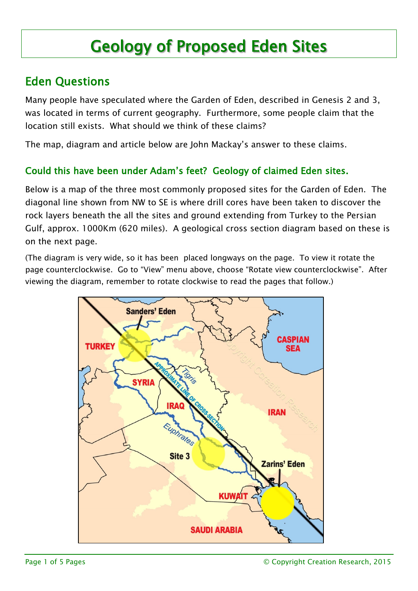# Geology of Proposed Eden Sites

## Eden Questions

Many people have speculated where the Garden of Eden, described in Genesis 2 and 3, was located in terms of current geography. Furthermore, some people claim that the location still exists. What should we think of these claims?

The map, diagram and article below are John Mackay's answer to these claims.

#### Could this have been under Adam's feet? Geology of claimed Eden sites.

Below is a map of the three most commonly proposed sites for the Garden of Eden. The diagonal line shown from NW to SE is where drill cores have been taken to discover the rock layers beneath the all the sites and ground extending from Turkey to the Persian Gulf, approx. 1000Km (620 miles). A geological cross section diagram based on these is on the next page.

(The diagram is very wide, so it has been placed longways on the page. To view it rotate the page counterclockwise. Go to "View" menu above, choose "Rotate view counterclockwise". After viewing the diagram, remember to rotate clockwise to read the pages that follow.)

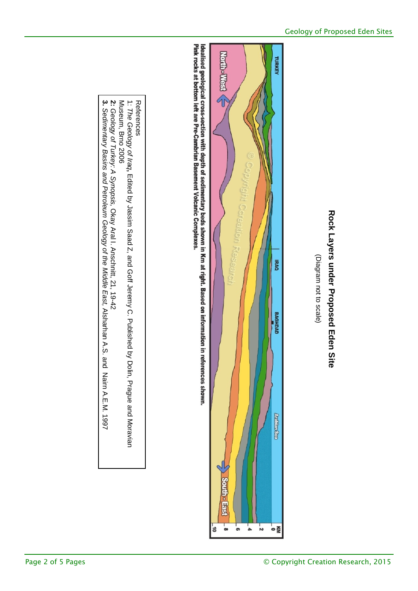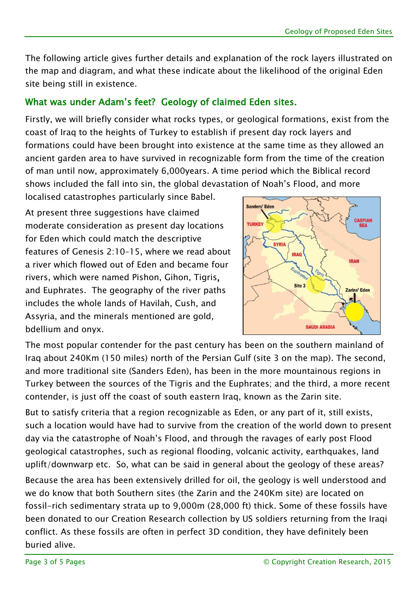The following article gives further details and explanation of the rock layers illustrated on the map and diagram, and what these indicate about the likelihood of the original Eden site being still in existence.

### What was under Adam's feet? Geology of claimed Eden sites.

Firstly, we will briefly consider what rocks types, or geological formations, exist from the coast of Iraq to the heights of Turkey to establish if present day rock layers and formations could have been brought into existence at the same time as they allowed an ancient garden area to have survived in recognizable form from the time of the creation of man until now, approximately 6,000years. A time period which the Biblical record shows included the fall into sin, the global devastation of Noah's Flood, and more

localised catastrophes particularly since Babel.

At present three suggestions have claimed moderate consideration as present day locations for Eden which could match the descriptive features of Genesis 2:10–15, where we read about a river which flowed out of Eden and became four rivers, which were named Pishon, Gihon, Tigris, and Euphrates. The geography of the river paths includes the whole lands of Havilah, Cush, and Assyria, and the minerals mentioned are gold, bdellium and onyx.



The most popular contender for the past century has been on the southern mainland of Iraq about 240Km (150 miles) north of the Persian Gulf (site 3 on the map). The second, and more traditional site (Sanders Eden), has been in the more mountainous regions in Turkey between the sources of the Tigris and the Euphrates; and the third, a more recent contender, is just off the coast of south eastern Iraq, known as the Zarin site.

But to satisfy criteria that a region recognizable as Eden, or any part of it, still exists, such a location would have had to survive from the creation of the world down to present day via the catastrophe of Noah's Flood, and through the ravages of early post Flood geological catastrophes, such as regional flooding, volcanic activity, earthquakes, land uplift/downwarp etc. So, what can be said in general about the geology of these areas?

Because the area has been extensively drilled for oil, the geology is well understood and we do know that both Southern sites (the Zarin and the 240Km site) are located on fossil-rich sedimentary strata up to 9,000m (28,000 ft) thick. Some of these fossils have been donated to our Creation Research collection by US soldiers returning from the Iraqi conflict. As these fossils are often in perfect 3D condition, they have definitely been buried alive.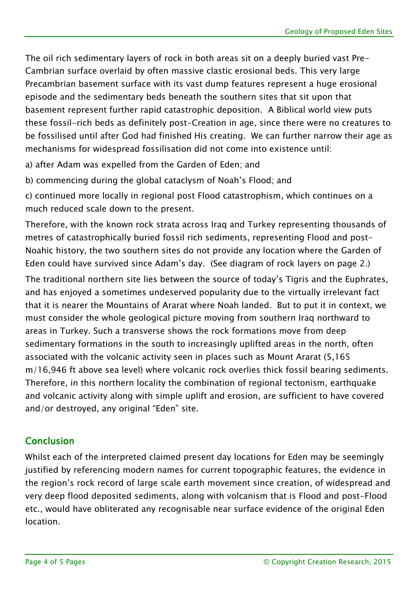The oil rich sedimentary layers of rock in both areas sit on a deeply buried vast Pre-Cambrian surface overlaid by often massive clastic erosional beds. This very large Precambrian basement surface with its vast dump features represent a huge erosional episode and the sedimentary beds beneath the southern sites that sit upon that basement represent further rapid catastrophic deposition. A Biblical world view puts these fossil-rich beds as definitely post-Creation in age, since there were no creatures to be fossilised until after God had finished His creating. We can further narrow their age as mechanisms for widespread fossilisation did not come into existence until:

a) after Adam was expelled from the Garden of Eden; and

b) commencing during the global cataclysm of Noah's Flood; and

c) continued more locally in regional post Flood catastrophism, which continues on a much reduced scale down to the present.

Therefore, with the known rock strata across Iraq and Turkey representing thousands of metres of catastrophically buried fossil rich sediments, representing Flood and post-Noahic history, the two southern sites do not provide any location where the Garden of Eden could have survived since Adam's day. (See diagram of rock layers on page 2.)

The traditional northern site lies between the source of today's Tigris and the Euphrates, and has enjoyed a sometimes undeserved popularity due to the virtually irrelevant fact that it is nearer the Mountains of Ararat where Noah landed. But to put it in context, we must consider the whole geological picture moving from southern Iraq northward to areas in Turkey. Such a transverse shows the rock formations move from deep sedimentary formations in the south to increasingly uplifted areas in the north, often associated with the volcanic activity seen in places such as Mount Ararat (5,165 m/16,946 ft above sea level) where volcanic rock overlies thick fossil bearing sediments. Therefore, in this northern locality the combination of regional tectonism, earthquake and volcanic activity along with simple uplift and erosion, are sufficient to have covered and/or destroyed, any original "Eden" site.

#### Conclusion

Whilst each of the interpreted claimed present day locations for Eden may be seemingly justified by referencing modern names for current topographic features, the evidence in the region's rock record of large scale earth movement since creation, of widespread and very deep flood deposited sediments, along with volcanism that is Flood and post-Flood etc., would have obliterated any recognisable near surface evidence of the original Eden location.